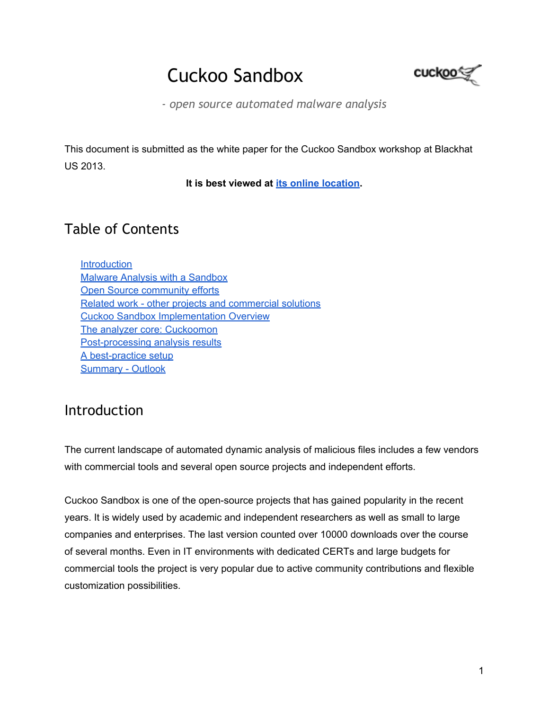# Cuckoo Sandbox



*- open source automated malware analysis*

This document is submitted as the white paper for the Cuckoo Sandbox workshop at Blackhat US 2013.

**It is best viewed at [its](https://docs.google.com/document/d/1uSt8A3V-fBs4kv6dhNmaNdX3LX9moC3VTH70baL0XAo) [online](https://docs.google.com/document/d/1uSt8A3V-fBs4kv6dhNmaNdX3LX9moC3VTH70baL0XAo) [location](https://docs.google.com/document/d/1uSt8A3V-fBs4kv6dhNmaNdX3LX9moC3VTH70baL0XAo).**

# Table of Contents

**Introduction** [Malware](#page-1-0) [Analysis](#page-1-0) [with](#page-1-0) [a](#page-1-0) [Sandbox](#page-1-0) [Open](#page-2-0) [Source](#page-2-0) [community](#page-2-0) [efforts](#page-2-0) [Related](#page-3-0) [work - other](#page-3-0) [projects](#page-3-0) [and](#page-3-0) [commercial](#page-3-0) [solutions](#page-3-0) [Cuckoo](#page-3-0) [Sandbox](#page-3-0) [Implementation](#page-3-0) [Overview](#page-3-0) [The](#page-5-0) [analyzer](#page-5-0) [core: Cuckoomon](#page-5-0) [Post-processing](#page-7-0) [analysis](#page-7-0) [results](#page-7-0) [A](#page-8-0) [best-practice](#page-8-0) [setup](#page-8-0) [Summary - Outlook](#page-9-0)

### Introduction

The current landscape of automated dynamic analysis of malicious files includes a few vendors with commercial tools and several open source projects and independent efforts.

Cuckoo Sandbox is one of the open-source projects that has gained popularity in the recent years. It is widely used by academic and independent researchers as well as small to large companies and enterprises. The last version counted over 10000 downloads over the course of several months. Even in IT environments with dedicated CERTs and large budgets for commercial tools the project is very popular due to active community contributions and flexible customization possibilities.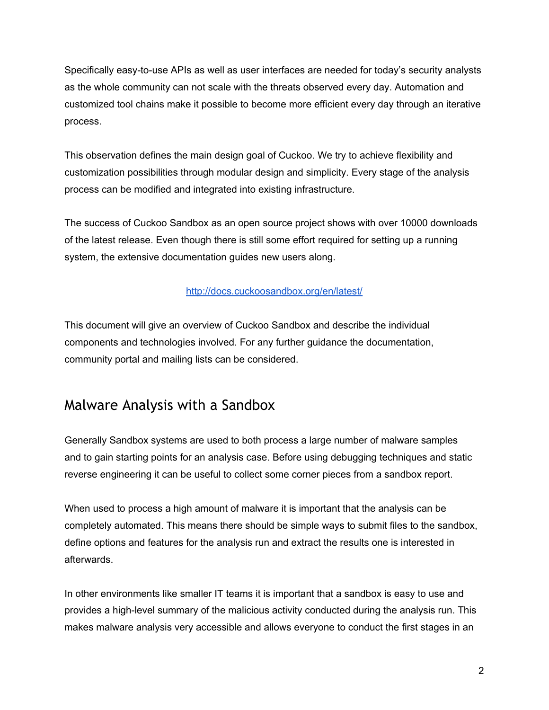<span id="page-1-0"></span>Specifically easy-to-use APIs as well as user interfaces are needed for today's security analysts as the whole community can not scale with the threats observed every day. Automation and customized tool chains make it possible to become more efficient every day through an iterative process.

This observation defines the main design goal of Cuckoo. We try to achieve flexibility and customization possibilities through modular design and simplicity. Every stage of the analysis process can be modified and integrated into existing infrastructure.

The success of Cuckoo Sandbox as an open source project shows with over 10000 downloads of the latest release. Even though there is still some effort required for setting up a running system, the extensive documentation guides new users along.

#### <http://docs.cuckoosandbox.org/en/latest/>

This document will give an overview of Cuckoo Sandbox and describe the individual components and technologies involved. For any further guidance the documentation, community portal and mailing lists can be considered.

#### Malware Analysis with a Sandbox

Generally Sandbox systems are used to both process a large number of malware samples and to gain starting points for an analysis case. Before using debugging techniques and static reverse engineering it can be useful to collect some corner pieces from a sandbox report.

When used to process a high amount of malware it is important that the analysis can be completely automated. This means there should be simple ways to submit files to the sandbox, define options and features for the analysis run and extract the results one is interested in afterwards.

In other environments like smaller IT teams it is important that a sandbox is easy to use and provides a high-level summary of the malicious activity conducted during the analysis run. This makes malware analysis very accessible and allows everyone to conduct the first stages in an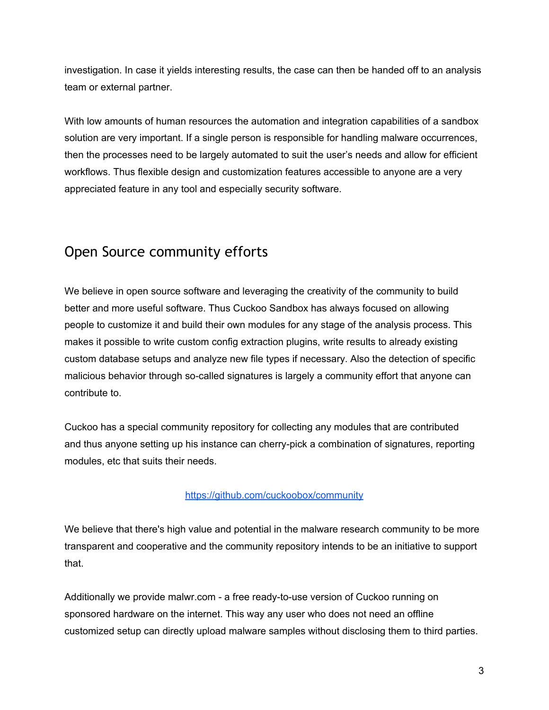<span id="page-2-0"></span>investigation. In case it yields interesting results, the case can then be handed off to an analysis team or external partner.

With low amounts of human resources the automation and integration capabilities of a sandbox solution are very important. If a single person is responsible for handling malware occurrences, then the processes need to be largely automated to suit the user's needs and allow for efficient workflows. Thus flexible design and customization features accessible to anyone are a very appreciated feature in any tool and especially security software.

# Open Source community efforts

We believe in open source software and leveraging the creativity of the community to build better and more useful software. Thus Cuckoo Sandbox has always focused on allowing people to customize it and build their own modules for any stage of the analysis process. This makes it possible to write custom config extraction plugins, write results to already existing custom database setups and analyze new file types if necessary. Also the detection of specific malicious behavior through so-called signatures is largely a community effort that anyone can contribute to.

Cuckoo has a special community repository for collecting any modules that are contributed and thus anyone setting up his instance can cherry-pick a combination of signatures, reporting modules, etc that suits their needs.

#### <https://github.com/cuckoobox/community>

We believe that there's high value and potential in the malware research community to be more transparent and cooperative and the community repository intends to be an initiative to support that.

Additionally we provide malwr.com - a free ready-to-use version of Cuckoo running on sponsored hardware on the internet. This way any user who does not need an offline customized setup can directly upload malware samples without disclosing them to third parties.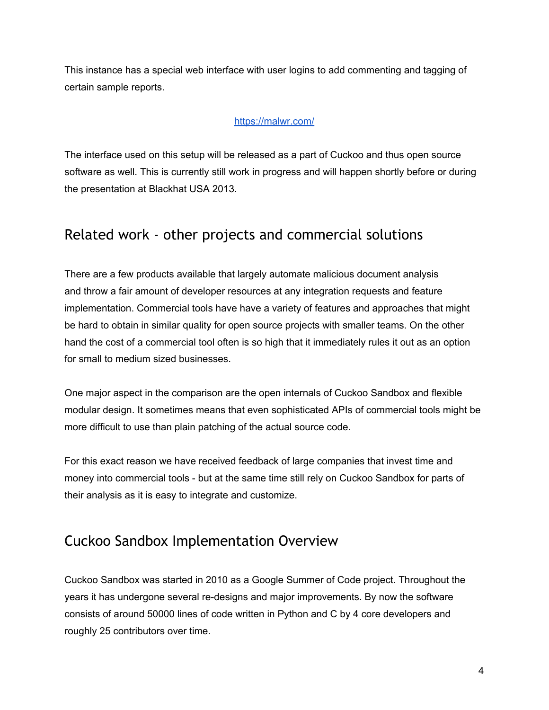<span id="page-3-0"></span>This instance has a special web interface with user logins to add commenting and tagging of certain sample reports.

#### <https://malwr.com/>

The interface used on this setup will be released as a part of Cuckoo and thus open source software as well. This is currently still work in progress and will happen shortly before or during the presentation at Blackhat USA 2013.

#### Related work - other projects and commercial solutions

There are a few products available that largely automate malicious document analysis and throw a fair amount of developer resources at any integration requests and feature implementation. Commercial tools have have a variety of features and approaches that might be hard to obtain in similar quality for open source projects with smaller teams. On the other hand the cost of a commercial tool often is so high that it immediately rules it out as an option for small to medium sized businesses.

One major aspect in the comparison are the open internals of Cuckoo Sandbox and flexible modular design. It sometimes means that even sophisticated APIs of commercial tools might be more difficult to use than plain patching of the actual source code.

For this exact reason we have received feedback of large companies that invest time and money into commercial tools - but at the same time still rely on Cuckoo Sandbox for parts of their analysis as it is easy to integrate and customize.

### Cuckoo Sandbox Implementation Overview

Cuckoo Sandbox was started in 2010 as a Google Summer of Code project. Throughout the years it has undergone several re-designs and major improvements. By now the software consists of around 50000 lines of code written in Python and C by 4 core developers and roughly 25 contributors over time.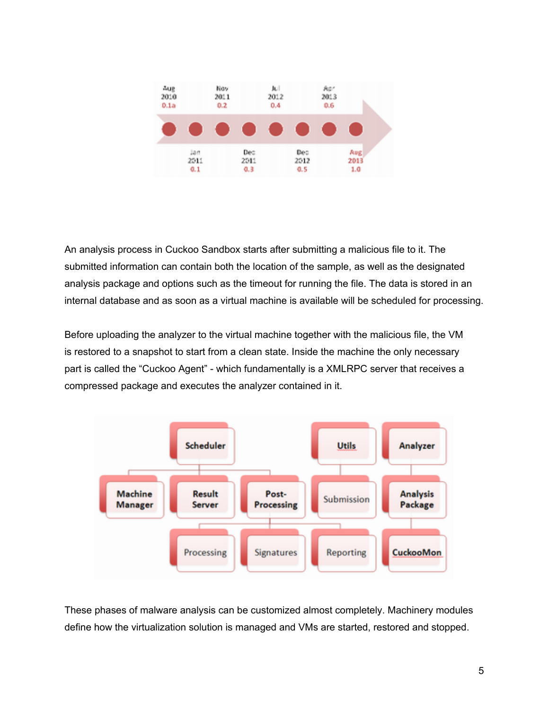

An analysis process in Cuckoo Sandbox starts after submitting a malicious file to it. The submitted information can contain both the location of the sample, as well as the designated analysis package and options such as the timeout for running the file. The data is stored in an internal database and as soon as a virtual machine is available will be scheduled for processing.

Before uploading the analyzer to the virtual machine together with the malicious file, the VM is restored to a snapshot to start from a clean state. Inside the machine the only necessary part is called the "Cuckoo Agent" - which fundamentally is a XMLRPC server that receives a compressed package and executes the analyzer contained in it.



These phases of malware analysis can be customized almost completely. Machinery modules define how the virtualization solution is managed and VMs are started, restored and stopped.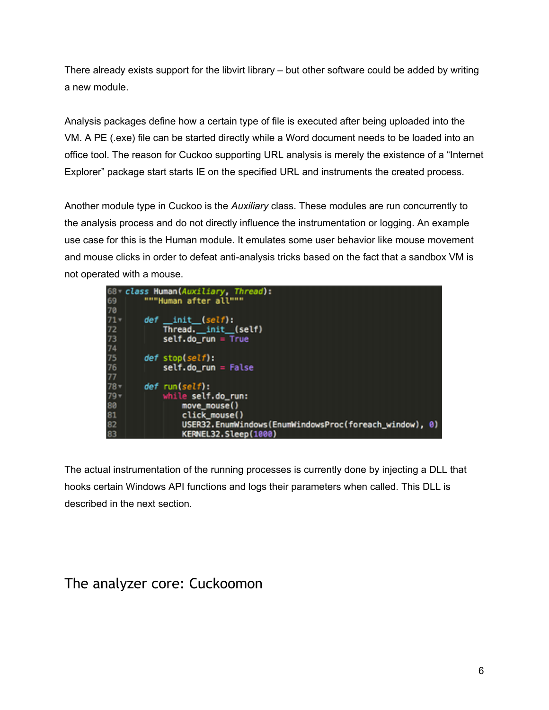<span id="page-5-0"></span>There already exists support for the libvirt library – but other software could be added by writing a new module.

Analysis packages define how a certain type of file is executed after being uploaded into the VM. A PE (.exe) file can be started directly while a Word document needs to be loaded into an office tool. The reason for Cuckoo supporting URL analysis is merely the existence of a "Internet Explorer" package start starts IE on the specified URL and instruments the created process.

Another module type in Cuckoo is the *Auxiliary* class. These modules are run concurrently to the analysis process and do not directly influence the instrumentation or logging. An example use case for this is the Human module. It emulates some user behavior like mouse movement and mouse clicks in order to defeat anti-analysis tricks based on the fact that a sandbox VM is not operated with a mouse.



The actual instrumentation of the running processes is currently done by injecting a DLL that hooks certain Windows API functions and logs their parameters when called. This DLL is described in the next section.

### The analyzer core: Cuckoomon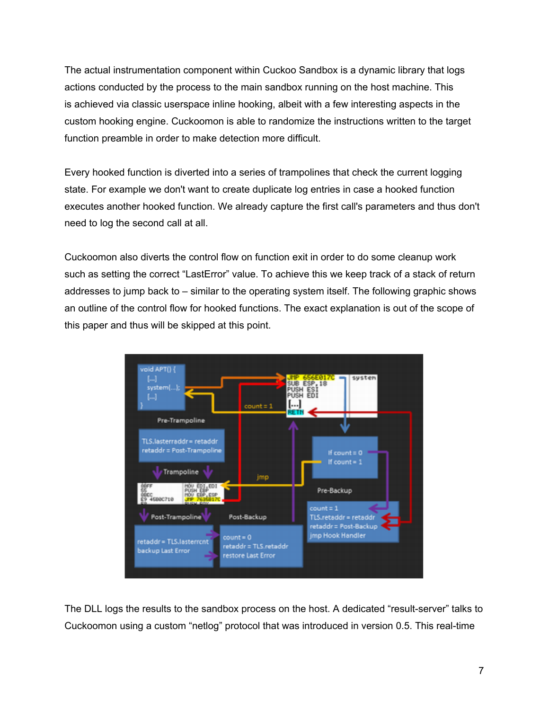The actual instrumentation component within Cuckoo Sandbox is a dynamic library that logs actions conducted by the process to the main sandbox running on the host machine. This is achieved via classic userspace inline hooking, albeit with a few interesting aspects in the custom hooking engine. Cuckoomon is able to randomize the instructions written to the target function preamble in order to make detection more difficult.

Every hooked function is diverted into a series of trampolines that check the current logging state. For example we don't want to create duplicate log entries in case a hooked function executes another hooked function. We already capture the first call's parameters and thus don't need to log the second call at all.

Cuckoomon also diverts the control flow on function exit in order to do some cleanup work such as setting the correct "LastError" value. To achieve this we keep track of a stack of return addresses to jump back to – similar to the operating system itself. The following graphic shows an outline of the control flow for hooked functions. The exact explanation is out of the scope of this paper and thus will be skipped at this point.



The DLL logs the results to the sandbox process on the host. A dedicated "result-server" talks to Cuckoomon using a custom "netlog" protocol that was introduced in version 0.5. This real-time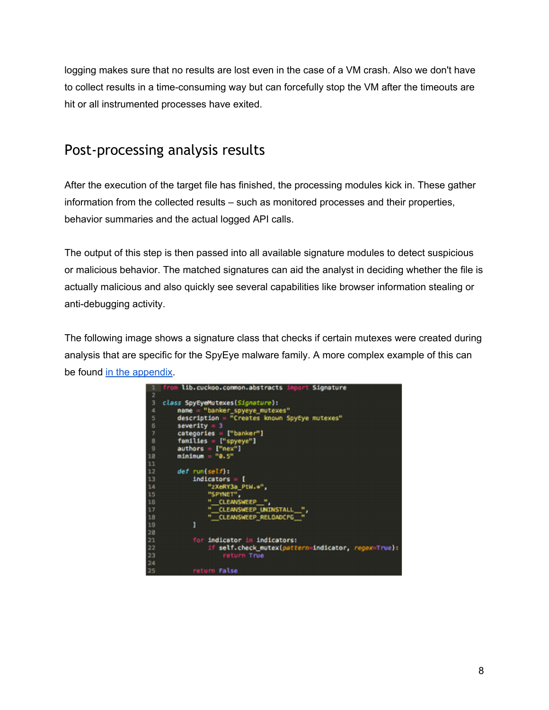<span id="page-7-0"></span>logging makes sure that no results are lost even in the case of a VM crash. Also we don't have to collect results in a time-consuming way but can forcefully stop the VM after the timeouts are hit or all instrumented processes have exited.

### Post-processing analysis results

After the execution of the target file has finished, the processing modules kick in. These gather information from the collected results – such as monitored processes and their properties, behavior summaries and the actual logged API calls.

The output of this step is then passed into all available signature modules to detect suspicious or malicious behavior. The matched signatures can aid the analyst in deciding whether the file is actually malicious and also quickly see several capabilities like browser information stealing or anti-debugging activity.

The following image shows a signature class that checks if certain mutexes were created during analysis that are specific for the SpyEye malware family. A more complex example of this can be found [in](#page-11-0) [the](#page-11-0) [appendix](#page-11-0).

|             | from lib.cuckoo.common.abstracts import Signature                                   |
|-------------|-------------------------------------------------------------------------------------|
| 2           |                                                                                     |
| 3           | class SpyEyeMutexes(Signature):                                                     |
| a           | name = "banker_spyeye_mutexes"                                                      |
| 5           | description = "Creates known SpyEye mutexes"                                        |
| 6           | $severity = 3$                                                                      |
| 7           | categories = ["banker"]                                                             |
| $\mathbf B$ | families = ["spyeye"]                                                               |
| g           | $authors = ['new"]$                                                                 |
| 10          | $min_{1} u = 70.5$                                                                  |
| 11          |                                                                                     |
| 12          | $def$ $run(self):$                                                                  |
| 13          | $Indicators = [$                                                                    |
| 14          | "zXeRY3a_PtW.*",                                                                    |
| 15          | "SPYNET".                                                                           |
| 16          | " CLEANSWEEP ",                                                                     |
| 17          | " CLEAVSWEEP UNINSTALL _",                                                          |
| 18          | " CLEANSWEEP RELOADCFG "                                                            |
| 19          | Ì                                                                                   |
| 20<br>21    |                                                                                     |
| 22          | for indicator in indicators:<br>if self.check_mutex(pattern=indicator, regex=True): |
| 23          | return True                                                                         |
| 24          |                                                                                     |
| 25          | return False                                                                        |
|             |                                                                                     |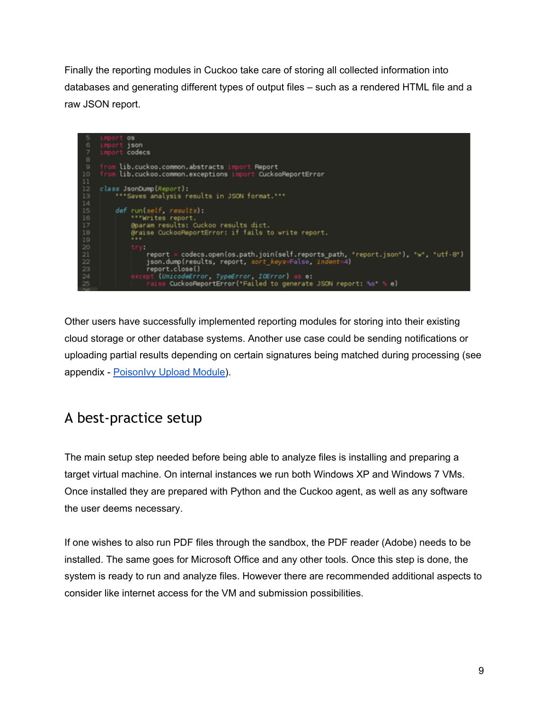<span id="page-8-0"></span>Finally the reporting modules in Cuckoo take care of storing all collected information into databases and generating different types of output files – such as a rendered HTML file and a raw JSON report.



Other users have successfully implemented reporting modules for storing into their existing cloud storage or other database systems. Another use case could be sending notifications or uploading partial results depending on certain signatures being matched during processing (see appendix - [PoisonIvy](#page-11-0) [Upload](#page-11-0) [Module](#page-11-0)).

# A best-practice setup

The main setup step needed before being able to analyze files is installing and preparing a target virtual machine. On internal instances we run both Windows XP and Windows 7 VMs. Once installed they are prepared with Python and the Cuckoo agent, as well as any software the user deems necessary.

If one wishes to also run PDF files through the sandbox, the PDF reader (Adobe) needs to be installed. The same goes for Microsoft Office and any other tools. Once this step is done, the system is ready to run and analyze files. However there are recommended additional aspects to consider like internet access for the VM and submission possibilities.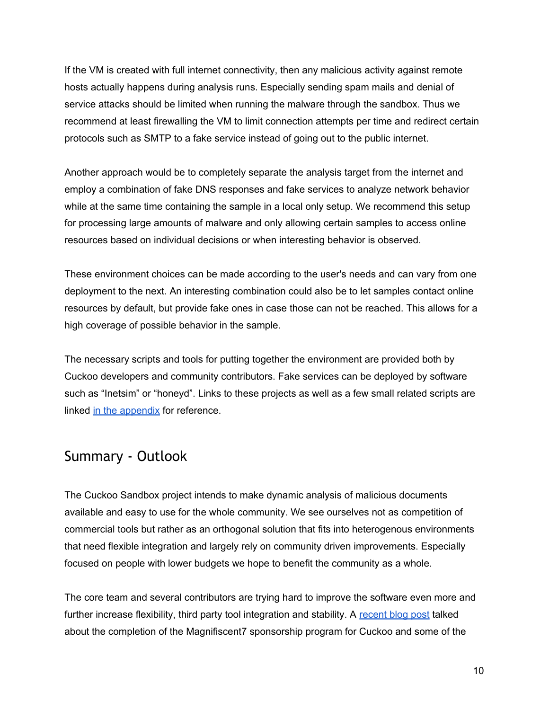<span id="page-9-0"></span>If the VM is created with full internet connectivity, then any malicious activity against remote hosts actually happens during analysis runs. Especially sending spam mails and denial of service attacks should be limited when running the malware through the sandbox. Thus we recommend at least firewalling the VM to limit connection attempts per time and redirect certain protocols such as SMTP to a fake service instead of going out to the public internet.

Another approach would be to completely separate the analysis target from the internet and employ a combination of fake DNS responses and fake services to analyze network behavior while at the same time containing the sample in a local only setup. We recommend this setup for processing large amounts of malware and only allowing certain samples to access online resources based on individual decisions or when interesting behavior is observed.

These environment choices can be made according to the user's needs and can vary from one deployment to the next. An interesting combination could also be to let samples contact online resources by default, but provide fake ones in case those can not be reached. This allows for a high coverage of possible behavior in the sample.

The necessary scripts and tools for putting together the environment are provided both by Cuckoo developers and community contributors. Fake services can be deployed by software such as "Inetsim" or "honeyd". Links to these projects as well as a few small related scripts are linked [in](#page-11-0) [the](#page-11-0) [appendix](#page-11-0) for reference.

#### Summary - Outlook

The Cuckoo Sandbox project intends to make dynamic analysis of malicious documents available and easy to use for the whole community. We see ourselves not as competition of commercial tools but rather as an orthogonal solution that fits into heterogenous environments that need flexible integration and largely rely on community driven improvements. Especially focused on people with lower budgets we hope to benefit the community as a whole.

The core team and several contributors are trying hard to improve the software even more and further increase flexibility, third party tool integration and stability. A [recent](https://community.rapid7.com/community/open_source/magnificent7/blog/2013/06/21/cuckoo-sandbox-approaching-10) [blog](https://community.rapid7.com/community/open_source/magnificent7/blog/2013/06/21/cuckoo-sandbox-approaching-10) [post](https://community.rapid7.com/community/open_source/magnificent7/blog/2013/06/21/cuckoo-sandbox-approaching-10) talked about the completion of the Magnifiscent7 sponsorship program for Cuckoo and some of the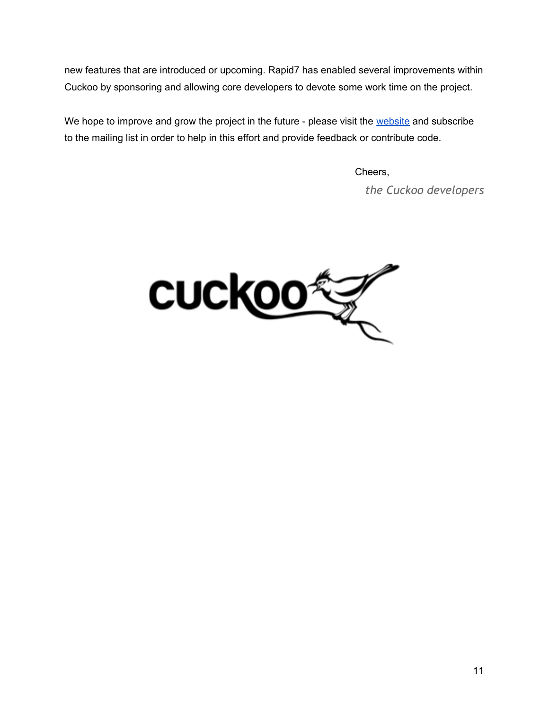new features that are introduced or upcoming. Rapid7 has enabled several improvements within Cuckoo by sponsoring and allowing core developers to devote some work time on the project.

We hope to improve and grow the project in the future - please visit the [website](http://cuckoosandbox.org/) and subscribe to the mailing list in order to help in this effort and provide feedback or contribute code.

Cheers,

*the Cuckoo developers*

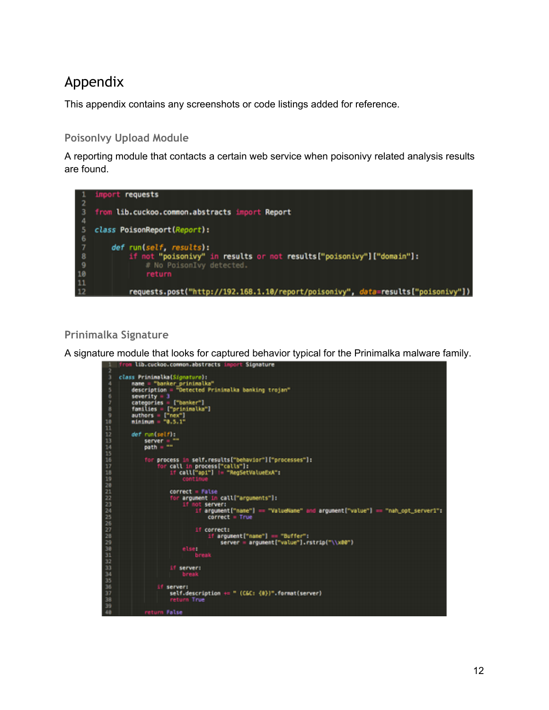# <span id="page-11-0"></span>Appendix

This appendix contains any screenshots or code listings added for reference.

#### **PoisonIvy Upload Module**

A reporting module that contacts a certain web service when poisonivy related analysis results are found.



#### **Prinimalka Signature**

A signature module that looks for captured behavior typical for the Prinimalka malware family.<br>A free tib.cuckee.comon.abstracts levert signature